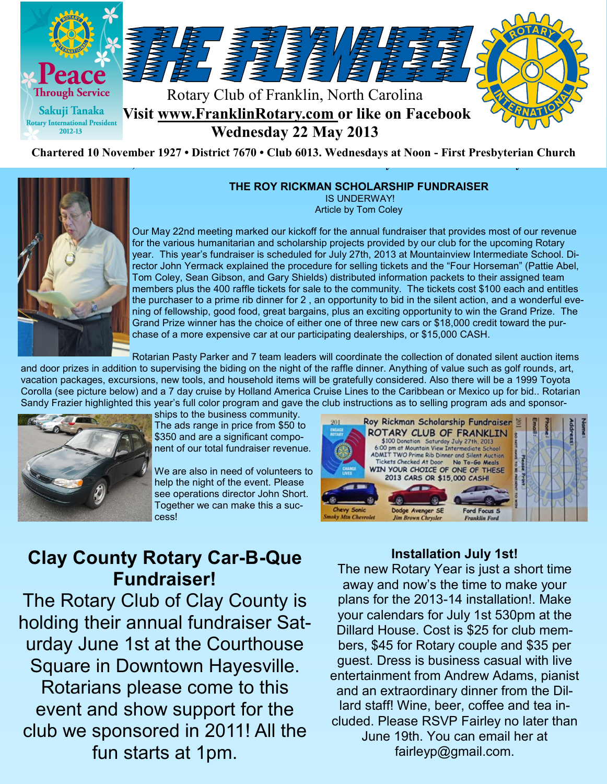

#### **THE ROY RICKMAN SCHOLARSHIP FUNDRAISER**

IS UNDERWAY! Article by Tom Coley

Our May 22nd meeting marked our kickoff for the annual fundraiser that provides most of our revenue for the various humanitarian and scholarship projects provided by our club for the upcoming Rotary year. This year's fundraiser is scheduled for July 27th, 2013 at Mountainview Intermediate School. Director John Yermack explained the procedure for selling tickets and the "Four Horseman" (Pattie Abel, Tom Coley, Sean Gibson, and Gary Shields) distributed information packets to their assigned team members plus the 400 raffle tickets for sale to the community. The tickets cost \$100 each and entitles the purchaser to a prime rib dinner for 2 , an opportunity to bid in the silent action, and a wonderful evening of fellowship, good food, great bargains, plus an exciting opportunity to win the Grand Prize. The Grand Prize winner has the choice of either one of three new cars or \$18,000 credit toward the purchase of a more expensive car at our participating dealerships, or \$15,000 CASH.

Rotarian Pasty Parker and 7 team leaders will coordinate the collection of donated silent auction items

and door prizes in addition to supervising the biding on the night of the raffle dinner. Anything of value such as golf rounds, art, vacation packages, excursions, new tools, and household items will be gratefully considered. Also there will be a 1999 Toyota Corolla (see picture below) and a 7 day cruise by Holland America Cruise Lines to the Caribbean or Mexico up for bid.. Rotarian Sandy Frazier highlighted this year's full color program and gave the club instructions as to selling program ads and sponsor-



ships to the business community. The ads range in price from \$50 to \$350 and are a significant component of our total fundraiser revenue.

We are also in need of volunteers to help the night of the event. Please see operations director John Short. Together we can make this a success!

## Roy Rickman Scholarship Fundraiser ROTARY CLUB OF FRANKLIN \$100 Donation Saturday July 27th, 2013<br>6:00 pm at Mountain View Intermediate School<br>ADMIT TWO Prime Rib Dinner and Silent Auction Tickets Checked At Door No To-Go Meals WIN YOUR CHOICE OF ONE OF THESE 2013 CARS OR \$15,000 CASH! **Jim Brown Chrysler**

# **Clay County Rotary Car-B-Que Fundraiser!**

The Rotary Club of Clay County is holding their annual fundraiser Saturday June 1st at the Courthouse Square in Downtown Hayesville. Rotarians please come to this event and show support for the club we sponsored in 2011! All the fun starts at 1pm.

## **Installation July 1st!**

The new Rotary Year is just a short time away and now's the time to make your plans for the 2013-14 installation!. Make your calendars for July 1st 530pm at the Dillard House. Cost is \$25 for club members, \$45 for Rotary couple and \$35 per guest. Dress is business casual with live entertainment from Andrew Adams, pianist and an extraordinary dinner from the Dillard staff! Wine, beer, coffee and tea included. Please RSVP Fairley no later than June 19th. You can email her at fairleyp@gmail.com.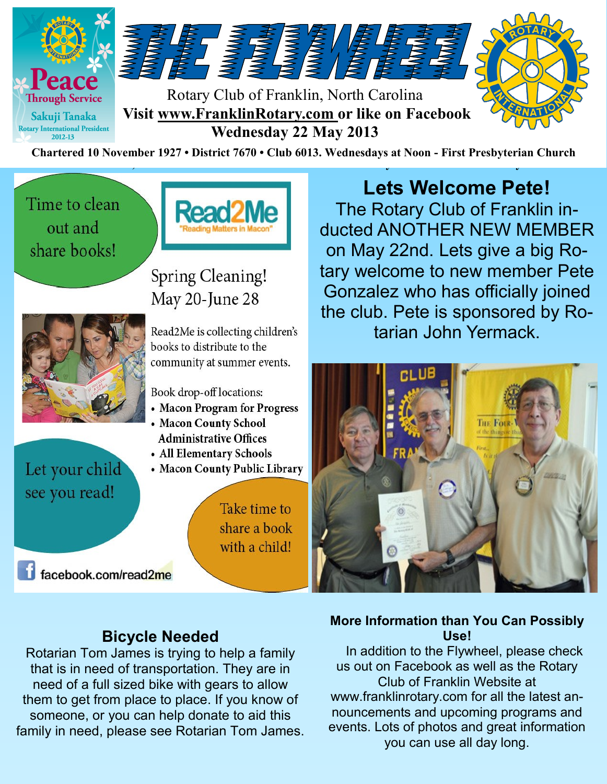

Time to clean out and share books!



# Spring Cleaning! May 20-June 28



Let your child see you read!

Read2Me is collecting children's books to distribute to the community at summer events.

Book drop-off locations:

- Macon Program for Progress
- Macon County School **Administrative Offices**
- All Elementary Schools
- Macon County Public Library

Take time to share a book with a child!

facebook.com/read2me

# **Lets Welcome Pete!**

The Rotary Club of Franklin inducted ANOTHER NEW MEMBER on May 22nd. Lets give a big Rotary welcome to new member Pete Gonzalez who has officially joined the club. Pete is sponsored by Rotarian John Yermack.



# **Bicycle Needed**

Rotarian Tom James is trying to help a family that is in need of transportation. They are in need of a full sized bike with gears to allow them to get from place to place. If you know of someone, or you can help donate to aid this family in need, please see Rotarian Tom James.

# **More Information than You Can Possibly Use!**

 In addition to the Flywheel, please check us out on Facebook as well as the Rotary Club of Franklin Website at www.franklinrotary.com for all the latest announcements and upcoming programs and events. Lots of photos and great information you can use all day long.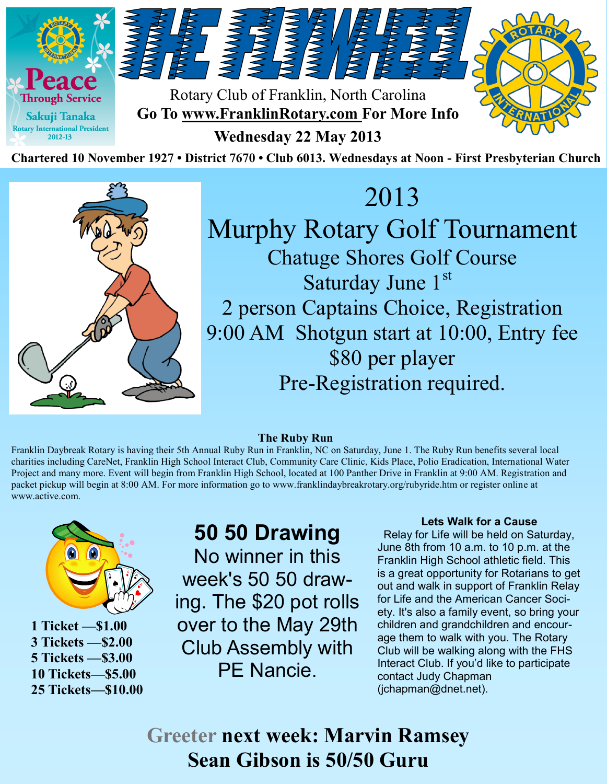



# 2013 Murphy Rotary Golf Tournament Chatuge Shores Golf Course Saturday June 1st 2 person Captains Choice, Registration 9:00 AM Shotgun start at 10:00, Entry fee \$80 per player Pre-Registration required.

#### **The Ruby Run**

Franklin Daybreak Rotary is having their 5th Annual Ruby Run in Franklin, NC on Saturday, June 1. The Ruby Run benefits several local charities including CareNet, Franklin High School Interact Club, Community Care Clinic, Kids Place, Polio Eradication, International Water Project and many more. Event will begin from Franklin High School, located at 100 Panther Drive in Franklin at 9:00 AM. Registration and packet pickup will begin at 8:00 AM. For more information go to www.franklindaybreakrotary.org/rubyride.htm or register online at www.active.com.



**1 Ticket —\$1.00 3 Tickets —\$2.00 5 Tickets —\$3.00 10 Tickets—\$5.00 25 Tickets—\$10.00**

**50 50 Drawing** No winner in this week's 50 50 drawing. The \$20 pot rolls over to the May 29th Club Assembly with PE Nancie.

### **Lets Walk for a Cause**

 Relay for Life will be held on Saturday, June 8th from 10 a.m. to 10 p.m. at the Franklin High School athletic field. This is a great opportunity for Rotarians to get out and walk in support of Franklin Relay for Life and the American Cancer Society. It's also a family event, so bring your children and grandchildren and encourage them to walk with you. The Rotary Club will be walking along with the FHS Interact Club. If you'd like to participate contact Judy Chapman (jchapman@dnet.net).

**Greeter next week: Marvin Ramsey Sean Gibson is 50/50 Guru**